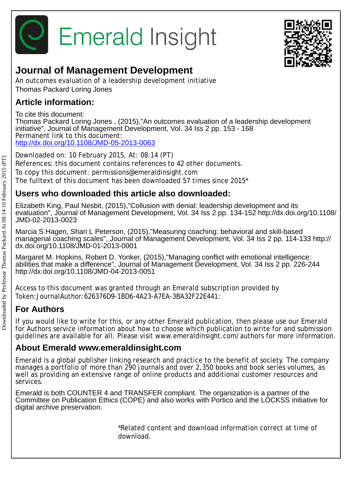



# **Journal of Management Development**

An outcomes evaluation of a leadership development initiative Thomas Packard Loring Jones

## **Article information:**

To cite this document: Thomas Packard Loring Jones , (2015),"An outcomes evaluation of a leadership development initiative", Journal of Management Development, Vol. 34 Iss 2 pp. 153 - 168 Permanent link to this document: <http://dx.doi.org/10.1108/JMD-05-2013-0063>

Downloaded on: 10 February 2015, At: 08:14 (PT) References: this document contains references to 42 other documents. To copy this document: permissions@emeraldinsight.com The fulltext of this document has been downloaded 57 times since 2015\*

## **Users who downloaded this article also downloaded:**

Elizabeth King, Paul Nesbit, (2015),"Collusion with denial: leadership development and its evaluation", Journal of Management Development, Vol. 34 Iss 2 pp. 134-152 http://dx.doi.org/10.1108/ JMD-02-2013-0023

Marcia S Hagen, Shari L Peterson, (2015),"Measuring coaching: behavioral and skill-based managerial coaching scales", Journal of Management Development, Vol. 34 Iss 2 pp. 114-133 http:// dx.doi.org/10.1108/JMD-01-2013-0001

Margaret M. Hopkins, Robert D. Yonker, (2015),"Managing conflict with emotional intelligence: abilities that make a difference", Journal of Management Development, Vol. 34 Iss 2 pp. 226-244 http://dx.doi.org/10.1108/JMD-04-2013-0051

Access to this document was granted through an Emerald subscription provided by Token:JournalAuthor:626376D9-1BD6-4A23-A7EA-3BA32F22E441:

## **For Authors**

If you would like to write for this, or any other Emerald publication, then please use our Emerald for Authors service information about how to choose which publication to write for and submission guidelines are available for all. Please visit www.emeraldinsight.com/authors for more information.

### **About Emerald www.emeraldinsight.com**

Emerald is a global publisher linking research and practice to the benefit of society. The company manages a portfolio of more than 290 journals and over 2,350 books and book series volumes, as well as providing an extensive range of online products and additional customer resources and services.

Emerald is both COUNTER 4 and TRANSFER compliant. The organization is a partner of the Committee on Publication Ethics (COPE) and also works with Portico and the LOCKSS initiative for digital archive preservation.

> \*Related content and download information correct at time of download.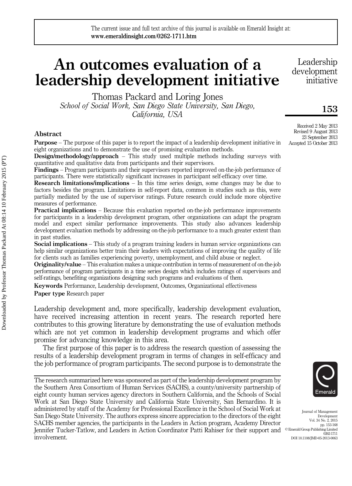# An outcomes evaluation of a leadership development initiative

Thomas Packard and Loring Jones

School of Social Work, San Diego State University, San Diego, California, USA

#### Abstract

Purpose – The purpose of this paper is to report the impact of a leadership development initiative in eight organizations and to demonstrate the use of promising evaluation methods.

**Design/methodology/approach** – This study used multiple methods including surveys with quantitative and qualitative data from participants and their supervisors.

Findings – Program participants and their supervisors reported improved on-the-job performance of participants. There were statistically significant increases in participant self-efficacy over time.

Research limitations/implications – In this time series design, some changes may be due to factors besides the program. Limitations in self-report data, common in studies such as this, were partially mediated by the use of supervisor ratings. Future research could include more objective measures of performance.

Practical implications – Because this evaluation reported on-the-job performance improvements for participants in a leadership development program, other organizations can adapt the program model and expect similar performance improvements. This study also advances leadership development evaluation methods by addressing on-the-job performance to a much greater extent than in past studies.

Social implications – This study of a program training leaders in human service organizations can help similar organizations better train their leaders with expectations of improving the quality of life for clients such as families experiencing poverty, unemployment, and child abuse or neglect.

Originality/value – This evaluation makes a unique contribution in terms of measurement of on-the-job performance of program participants in a time series design which includes ratings of supervisors and self-ratings, benefiting organizations designing such programs and evaluations of them.

Keywords Performance, Leadership development, Outcomes, Organizational effectiveness Paper type Research paper

Leadership development and, more specifically, leadership development evaluation, have received increasing attention in recent years. The research reported here contributes to this growing literature by demonstrating the use of evaluation methods which are not yet common in leadership development programs and which offer promise for advancing knowledge in this area.

The first purpose of this paper is to address the research question of assessing the results of a leadership development program in terms of changes in self-efficacy and the job performance of program participants. The second purpose is to demonstrate the

The research summarized here was sponsored as part of the leadership development program by the Southern Area Consortium of Human Services (SACHS), a county/university partnership of eight county human services agency directors in Southern California, and the Schools of Social Work at San Diego State University and California State University, San Bernardino. It is administered by staff of the Academy for Professional Excellence in the School of Social Work at San Diego State University. The authors express sincere appreciation to the directors of the eight SACHS member agencies, the participants in the Leaders in Action program, Academy Director Jennifer Tucker-Tatlow, and Leaders in Action Coordinator Patti Rahiser for their support and involvement.

Emerald

Journal of Management Development Vol. 34 No. 2, 2015 pp. 153-168 © Emerald Group Publishing Limited 0262-1711 DOI 10.1108/JMD-05-2013-0063

Received 2 May 2013 Revised 9 August 2013 23 September 2013 Accepted 15 October 2013

Leadership development initiative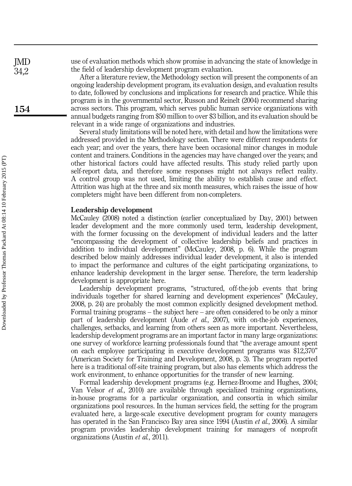use of evaluation methods which show promise in advancing the state of knowledge in the field of leadership development program evaluation.

After a literature review, the Methodology section will present the components of an ongoing leadership development program, its evaluation design, and evaluation results to date, followed by conclusions and implications for research and practice. While this program is in the governmental sector, Russon and Reinelt (2004) recommend sharing across sectors. This program, which serves public human service organizations with annual budgets ranging from \$50 million to over \$3 billion, and its evaluation should be relevant in a wide range of organizations and industries.

Several study limitations will be noted here, with detail and how the limitations were addressed provided in the Methodology section. There were different respondents for each year; and over the years, there have been occasional minor changes in module content and trainers. Conditions in the agencies may have changed over the years; and other historical factors could have affected results. This study relied partly upon self-report data, and therefore some responses might not always reflect reality. A control group was not used, limiting the ability to establish cause and effect. Attrition was high at the three and six month measures, which raises the issue of how completers might have been different from non-completers.

#### Leadership development

McCauley (2008) noted a distinction (earlier conceptualized by Day, 2001) between leader development and the more commonly used term, leadership development, with the former focussing on the development of individual leaders and the latter "encompassing the development of collective leadership beliefs and practices in addition to individual development" (McCauley, 2008, p. 6). While the program described below mainly addresses individual leader development, it also is intended to impact the performance and cultures of the eight participating organizations, to enhance leadership development in the larger sense. Therefore, the term leadership development is appropriate here.

Leadership development programs, "structured, off-the-job events that bring individuals together for shared learning and development experiences" (McCauley, 2008, p. 24) are probably the most common explicitly designed development method. Formal training programs – the subject here – are often considered to be only a minor part of leadership development (Aude *et al.*, 2007), with on-the-job experiences, challenges, setbacks, and learning from others seen as more important. Nevertheless, leadership development programs are an important factor in many large organizations: one survey of workforce learning professionals found that "the average amount spent on each employee participating in executive development programs was \$12,370" (American Society for Training and Development, 2008, p. 3). The program reported here is a traditional off-site training program, but also has elements which address the work environment, to enhance opportunities for the transfer of new learning.

Formal leadership development programs (e.g. Hernez-Broome and Hughes, 2004; Van Velsor et al., 2010) are available through specialized training organizations, in-house programs for a particular organization, and consortia in which similar organizations pool resources. In the human services field, the setting for the program evaluated here, a large-scale executive development program for county managers has operated in the San Francisco Bay area since 1994 (Austin *et al.*, 2006). A similar program provides leadership development training for managers of nonprofit organizations (Austin et al., 2011).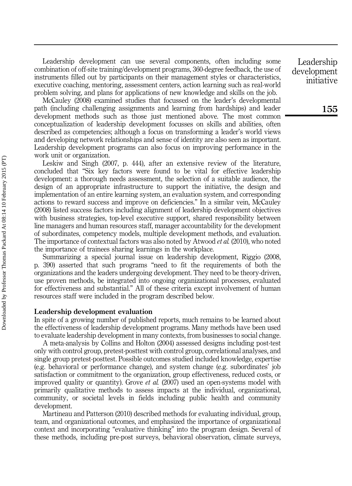Leadership development can use several components, often including some combination of off-site training/development programs, 360-degree feedback, the use of instruments filled out by participants on their management styles or characteristics, executive coaching, mentoring, assessment centers, action learning such as real-world problem solving, and plans for applications of new knowledge and skills on the job.

McCauley (2008) examined studies that focussed on the leader's developmental path (including challenging assignments and learning from hardships) and leader development methods such as those just mentioned above. The most common conceptualization of leadership development focusses on skills and abilities, often described as competencies; although a focus on transforming a leader's world views and developing network relationships and sense of identity are also seen as important. Leadership development programs can also focus on improving performance in the work unit or organization.

Leskiw and Singh (2007, p. 444), after an extensive review of the literature, concluded that "Six key factors were found to be vital for effective leadership development: a thorough needs assessment, the selection of a suitable audience, the design of an appropriate infrastructure to support the initiative, the design and implementation of an entire learning system, an evaluation system, and corresponding actions to reward success and improve on deficiencies." In a similar vein, McCauley (2008) listed success factors including alignment of leadership development objectives with business strategies, top-level executive support, shared responsibility between line managers and human resources staff, manager accountability for the development of subordinates, competency models, multiple development methods, and evaluation. The importance of contextual factors was also noted by Atwood *et al.* (2010), who noted the importance of trainees sharing learnings in the workplace.

Summarizing a special journal issue on leadership development, Riggio (2008, p. 390) asserted that such programs "need to fit the requirements of both the organizations and the leaders undergoing development. They need to be theory-driven, use proven methods, be integrated into ongoing organizational processes, evaluated for effectiveness and substantial." All of these criteria except involvement of human resources staff were included in the program described below.

#### Leadership development evaluation

In spite of a growing number of published reports, much remains to be learned about the effectiveness of leadership development programs. Many methods have been used to evaluate leadership development in many contexts, from businesses to social change.

A meta-analysis by Collins and Holton (2004) assessed designs including post-test only with control group, pretest-posttest with control group, correlational analyses, and single group pretest-posttest. Possible outcomes studied included knowledge, expertise (e.g. behavioral or performance change), and system change (e.g. subordinates' job satisfaction or commitment to the organization, group effectiveness, reduced costs, or improved quality or quantity). Grove *et al.* (2007) used an open-systems model with primarily qualitative methods to assess impacts at the individual, organizational, community, or societal levels in fields including public health and community development.

Martineau and Patterson (2010) described methods for evaluating individual, group, team, and organizational outcomes, and emphasized the importance of organizational context and incorporating "evaluative thinking" into the program design. Several of these methods, including pre-post surveys, behavioral observation, climate surveys,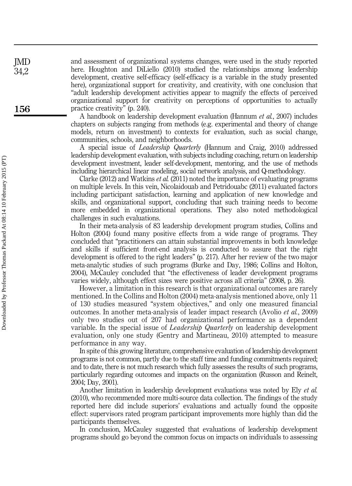and assessment of organizational systems changes, were used in the study reported here. Houghton and DiLiello (2010) studied the relationships among leadership development, creative self-efficacy (self-efficacy is a variable in the study presented here), organizational support for creativity, and creativity, with one conclusion that "adult leadership development activities appear to magnify the effects of perceived organizational support for creativity on perceptions of opportunities to actually practice creativity" (p. 240).

A handbook on leadership development evaluation (Hannum et al., 2007) includes chapters on subjects ranging from methods (e.g. experimental and theory of change models, return on investment) to contexts for evaluation, such as social change, communities, schools, and neighborhoods.

A special issue of Leadership Quarterly (Hannum and Craig, 2010) addressed leadership development evaluation, with subjects including coaching, return on leadership development investment, leader self-development, mentoring, and the use of methods including hierarchical linear modeling, social network analysis, and Q-methodology.

Clarke (2012) and Watkins *et al.* (2011) noted the importance of evaluating programs on multiple levels. In this vein, Nicolaidouab and Petridouabc (2011) evaluated factors including participant satisfaction, learning and application of new knowledge and skills, and organizational support, concluding that such training needs to become more embedded in organizational operations. They also noted methodological challenges in such evaluations.

In their meta-analysis of 83 leadership development program studies, Collins and Holton (2004) found many positive effects from a wide range of programs. They concluded that "practitioners can attain substantial improvements in both knowledge and skills if sufficient front-end analysis is conducted to assure that the right development is offered to the right leaders" (p. 217). After her review of the two major meta-analytic studies of such programs (Burke and Day, 1986; Collins and Holton, 2004), McCauley concluded that "the effectiveness of leader development programs varies widely, although effect sizes were positive across all criteria" (2008, p. 26).

However, a limitation in this research is that organizational outcomes are rarely mentioned. In the Collins and Holton (2004) meta-analysis mentioned above, only 11 of 130 studies measured "system objectives," and only one measured financial outcomes. In another meta-analysis of leader impact research (Avolio et al., 2009) only two studies out of 207 had organizational performance as a dependent variable. In the special issue of *Leadership Quarterly* on leadership development evaluation, only one study (Gentry and Martineau, 2010) attempted to measure performance in any way.

In spite of this growing literature, comprehensive evaluation of leadership development programs is not common, partly due to the staff time and funding commitments required; and to date, there is not much research which fully assesses the results of such programs, particularly regarding outcomes and impacts on the organization (Russon and Reinelt, 2004; Day, 2001).

Another limitation in leadership development evaluations was noted by Ely *et al.* (2010), who recommended more multi-source data collection. The findings of the study reported here did include superiors' evaluations and actually found the opposite effect: supervisors rated program participant improvements more highly than did the participants themselves.

In conclusion, McCauley suggested that evaluations of leadership development programs should go beyond the common focus on impacts on individuals to assessing

156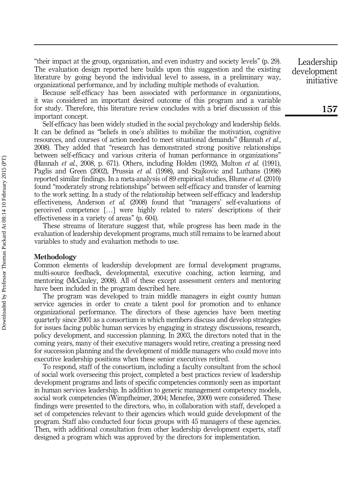"their impact at the group, organization, and even industry and society levels" (p. 29). The evaluation design reported here builds upon this suggestion and the existing literature by going beyond the individual level to assess, in a preliminary way, organizational performance, and by including multiple methods of evaluation.

Because self-efficacy has been associated with performance in organizations, it was considered an important desired outcome of this program and a variable for study. Therefore, this literature review concludes with a brief discussion of this important concept.

Self-efficacy has been widely studied in the social psychology and leadership fields. It can be defined as "beliefs in one's abilities to mobilize the motivation, cognitive resources, and courses of action needed to meet situational demands" (Hannah et al., 2008). They added that "research has demonstrated strong positive relationships between self-efficacy and various criteria of human performance in organizations" (Hannah *et al.*, 2008, p. 671). Others, including Holden (1992), Multon *et al.* (1991), Paglis and Green (2002), Prussia et al. (1998), and Stajkovic and Luthans (1998) reported similar findings. In a meta-analysis of 89 empirical studies, Blume et al. (2010) found "moderately strong relationships" between self-efficacy and transfer of learning to the work setting. In a study of the relationship between self-efficacy and leadership effectiveness, Anderson et al. (2008) found that "managers' self-evaluations of perceived competence […] were highly related to raters' descriptions of their effectiveness in a variety of areas" (p. 604).

These streams of literature suggest that, while progress has been made in the evaluation of leadership development programs, much still remains to be learned about variables to study and evaluation methods to use.

#### Methodology

Common elements of leadership development are formal development programs, multi-source feedback, developmental, executive coaching, action learning, and mentoring (McCauley, 2008). All of these except assessment centers and mentoring have been included in the program described here.

The program was developed to train middle managers in eight county human service agencies in order to create a talent pool for promotion and to enhance organizational performance. The directors of these agencies have been meeting quarterly since 2001 as a consortium in which members discuss and develop strategies for issues facing public human services by engaging in strategy discussions, research, policy development, and succession planning. In 2003, the directors noted that in the coming years, many of their executive managers would retire, creating a pressing need for succession planning and the development of middle managers who could move into executive leadership positions when these senior executives retired.

To respond, staff of the consortium, including a faculty consultant from the school of social work overseeing this project, completed a best practices review of leadership development programs and lists of specific competencies commonly seen as important in human services leadership. In addition to generic management competency models, social work competencies (Wimpfheimer, 2004; Menefee, 2000) were considered. These findings were presented to the directors, who, in collaboration with staff, developed a set of competencies relevant to their agencies which would guide development of the program. Staff also conducted four focus groups with 45 managers of these agencies. Then, with additional consultation from other leadership development experts, staff designed a program which was approved by the directors for implementation.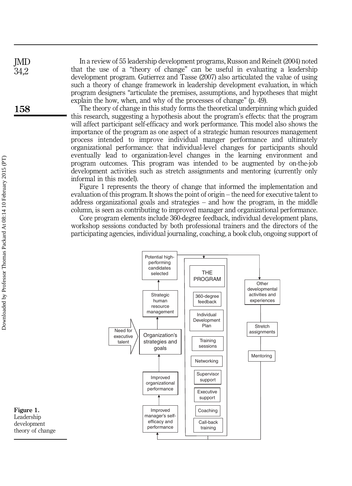In a review of 55 leadership development programs, Russon and Reinelt (2004) noted that the use of a "theory of change" can be useful in evaluating a leadership development program. Gutierrez and Tasse (2007) also articulated the value of using such a theory of change framework in leadership development evaluation, in which program designers "articulate the premises, assumptions, and hypotheses that might explain the how, when, and why of the processes of change" (p. 49).

The theory of change in this study forms the theoretical underpinning which guided this research, suggesting a hypothesis about the program's effects: that the program will affect participant self-efficacy and work performance. This model also shows the importance of the program as one aspect of a strategic human resources management process intended to improve individual manger performance and ultimately organizational performance: that individual-level changes for participants should eventually lead to organization-level changes in the learning environment and program outcomes. This program was intended to be augmented by on-the-job development activities such as stretch assignments and mentoring (currently only informal in this model).

Figure 1 represents the theory of change that informed the implementation and evaluation of this program. It shows the point of origin – the need for executive talent to address organizational goals and strategies – and how the program, in the middle column, is seen as contributing to improved manager and organizational performance.

Core program elements include 360-degree feedback, individual development plans, workshop sessions conducted by both professional trainers and the directors of the participating agencies, individual journaling, coaching, a book club, ongoing support of



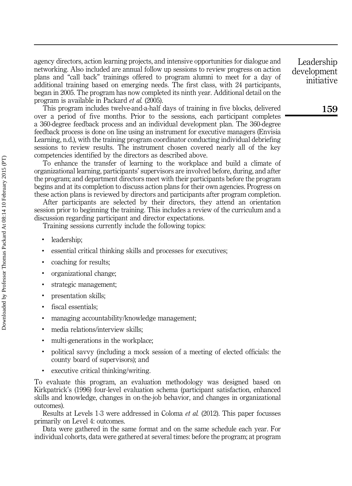agency directors, action learning projects, and intensive opportunities for dialogue and networking. Also included are annual follow up sessions to review progress on action plans and "call back" trainings offered to program alumni to meet for a day of additional training based on emerging needs. The first class, with 24 participants, began in 2005. The program has now completed its ninth year. Additional detail on the program is available in Packard et al. (2005).

This program includes twelve-and-a-half days of training in five blocks, delivered over a period of five months. Prior to the sessions, each participant completes a 360-degree feedback process and an individual development plan. The 360-degree feedback process is done on line using an instrument for executive managers (Envisia Learning, n.d.), with the training program coordinator conducting individual debriefing sessions to review results. The instrument chosen covered nearly all of the key competencies identified by the directors as described above.

To enhance the transfer of learning to the workplace and build a climate of organizational learning, participants' supervisors are involved before, during, and after the program; and department directors meet with their participants before the program begins and at its completion to discuss action plans for their own agencies. Progress on these action plans is reviewed by directors and participants after program completion.

After participants are selected by their directors, they attend an orientation session prior to beginning the training. This includes a review of the curriculum and a discussion regarding participant and director expectations.

Training sessions currently include the following topics:

- leadership;
- essential critical thinking skills and processes for executives;
- coaching for results;
- organizational change;
- strategic management;
- presentation skills;
- fiscal essentials;
- managing accountability/knowledge management;
- media relations/interview skills;
- multi-generations in the workplace;
- political savvy (including a mock session of a meeting of elected officials: the county board of supervisors); and
- executive critical thinking/writing.

To evaluate this program, an evaluation methodology was designed based on Kirkpatrick's (1996) four-level evaluation schema (participant satisfaction, enhanced skills and knowledge, changes in on-the-job behavior, and changes in organizational outcomes).

Results at Levels 1-3 were addressed in Coloma et al. (2012). This paper focusses primarily on Level 4: outcomes.

Data were gathered in the same format and on the same schedule each year. For individual cohorts, data were gathered at several times: before the program; at program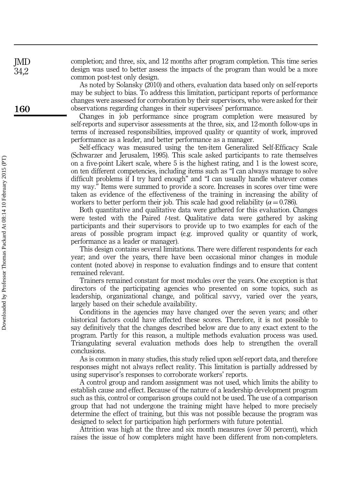completion; and three, six, and 12 months after program completion. This time series design was used to better assess the impacts of the program than would be a more common post-test only design.

As noted by Solansky (2010) and others, evaluation data based only on self-reports may be subject to bias. To address this limitation, participant reports of performance changes were assessed for corroboration by their supervisors, who were asked for their observations regarding changes in their supervisees' performance.

Changes in job performance since program completion were measured by self-reports and supervisor assessments at the three, six, and 12-month follow-ups in terms of increased responsibilities, improved quality or quantity of work, improved performance as a leader, and better performance as a manager.

Self-efficacy was measured using the ten-item Generalized Self-Efficacy Scale (Schwarzer and Jerusalem, 1995). This scale asked participants to rate themselves on a five-point Likert scale, where 5 is the highest rating, and 1 is the lowest score, on ten different competencies, including items such as "I can always manage to solve difficult problems if I try hard enough" and "I can usually handle whatever comes my way." Items were summed to provide a score. Increases in scores over time were taken as evidence of the effectiveness of the training in increasing the ability of workers to better perform their job. This scale had good reliability ( $\alpha = 0.786$ ).

Both quantitative and qualitative data were gathered for this evaluation. Changes were tested with the Paired t-test. Qualitative data were gathered by asking participants and their supervisors to provide up to two examples for each of the areas of possible program impact (e.g. improved quality or quantity of work, performance as a leader or manager).

This design contains several limitations. There were different respondents for each year; and over the years, there have been occasional minor changes in module content (noted above) in response to evaluation findings and to ensure that content remained relevant.

Trainers remained constant for most modules over the years. One exception is that directors of the participating agencies who presented on some topics, such as leadership, organizational change, and political savvy, varied over the years, largely based on their schedule availability.

Conditions in the agencies may have changed over the seven years; and other historical factors could have affected these scores. Therefore, it is not possible to say definitively that the changes described below are due to any exact extent to the program. Partly for this reason, a multiple methods evaluation process was used. Triangulating several evaluation methods does help to strengthen the overall conclusions.

As is common in many studies, this study relied upon self-report data, and therefore responses might not always reflect reality. This limitation is partially addressed by using supervisor's responses to corroborate workers' reports.

A control group and random assignment was not used, which limits the ability to establish cause and effect. Because of the nature of a leadership development program such as this, control or comparison groups could not be used. The use of a comparison group that had not undergone the training might have helped to more precisely determine the effect of training, but this was not possible because the program was designed to select for participation high performers with future potential.

Attrition was high at the three and six month measures (over 50 percent), which raises the issue of how completers might have been different from non-completers.

JMD 34,2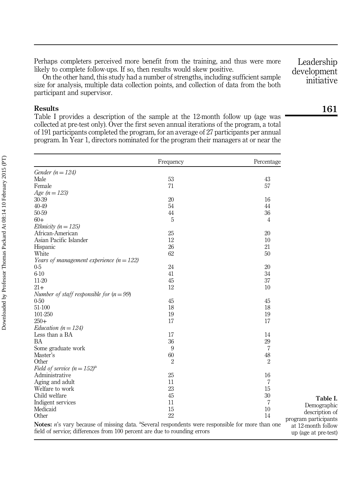Perhaps completers perceived more benefit from the training, and thus were more likely to complete follow-ups. If so, then results would skew positive.

On the other hand, this study had a number of strengths, including sufficient sample size for analysis, multiple data collection points, and collection of data from the both participant and supervisor.

#### Results

Table I provides a description of the sample at the 12-month follow up (age was collected at pre-test only). Over the first seven annual iterations of the program, a total of 191 participants completed the program, for an average of 27 participants per annual program. In Year 1, directors nominated for the program their managers at or near the

|                                                                           | Frequency                                                                                                                   | Percentage           |          |
|---------------------------------------------------------------------------|-----------------------------------------------------------------------------------------------------------------------------|----------------------|----------|
| Gender ( $n = 124$ )                                                      |                                                                                                                             |                      |          |
| Male                                                                      | 53                                                                                                                          | 43                   |          |
| Female                                                                    | 71                                                                                                                          | 57                   |          |
| Age $(n = 123)$                                                           |                                                                                                                             |                      |          |
| 30-39                                                                     | 20                                                                                                                          | 16                   |          |
| 40-49                                                                     | 54                                                                                                                          | 44                   |          |
| 50-59                                                                     | 44                                                                                                                          | 36                   |          |
| $60+$                                                                     | 5                                                                                                                           | $\overline{4}$       |          |
| Ethnicity ( $n = 125$ )                                                   |                                                                                                                             |                      |          |
| African-American                                                          | 25                                                                                                                          | 20                   |          |
| Asian Pacific Islander                                                    | 12                                                                                                                          | 10                   |          |
| Hispanic                                                                  | 26                                                                                                                          | 21                   |          |
| White                                                                     | 62                                                                                                                          | 50                   |          |
| Years of management experience $(n = 122)$                                |                                                                                                                             |                      |          |
| $0-5$                                                                     | 24                                                                                                                          | 20                   |          |
| $6 - 10$                                                                  | 41                                                                                                                          | 34                   |          |
| 11-20                                                                     | 45                                                                                                                          | 37                   |          |
| $21+$                                                                     | 12                                                                                                                          | 10                   |          |
| Number of staff responsible for $(n = 99)$                                |                                                                                                                             |                      |          |
| $0 - 50$                                                                  | 45                                                                                                                          | 45                   |          |
| 51-100                                                                    | 18                                                                                                                          | 18                   |          |
| 101-250                                                                   | 19                                                                                                                          | 19                   |          |
| $250+$                                                                    | 17                                                                                                                          | 17                   |          |
| Education ( $n = 124$ )                                                   |                                                                                                                             |                      |          |
| Less than a BA                                                            | 17                                                                                                                          | 14                   |          |
| BA                                                                        | 36                                                                                                                          | 29                   |          |
| Some graduate work                                                        | 9                                                                                                                           | $\overline{7}$       |          |
| Master's                                                                  | 60                                                                                                                          | 48                   |          |
| Other                                                                     | $\overline{2}$                                                                                                              | $\overline{2}$       |          |
| Field of service $(n = 152)^a$                                            |                                                                                                                             |                      |          |
| Administrative                                                            | 25                                                                                                                          | 16                   |          |
| Aging and adult                                                           | 11                                                                                                                          | 7                    |          |
| Welfare to work                                                           | 23                                                                                                                          | 15                   |          |
| Child welfare                                                             | 45                                                                                                                          | 30                   |          |
| Indigent services                                                         | 11                                                                                                                          | $\overline{7}$       | Table I. |
| Medicaid                                                                  | 15                                                                                                                          | Demographic<br>10    |          |
| Other                                                                     | 22                                                                                                                          | description of<br>14 |          |
|                                                                           |                                                                                                                             | program participants |          |
|                                                                           | <b>Notes:</b> <i>n</i> 's vary because of missing data. <sup>a</sup> Several respondents were responsible for more than one | at 12-month follow   |          |
| field of service; differences from 100 percent are due to rounding errors |                                                                                                                             | up (age at pre-test) |          |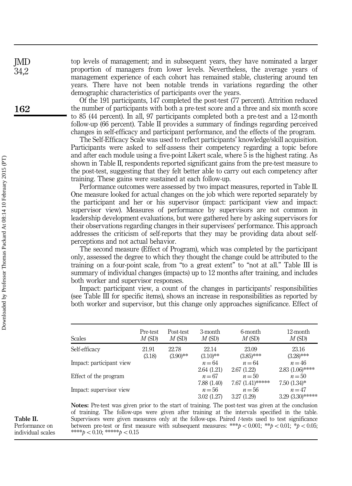top levels of management; and in subsequent years, they have nominated a larger proportion of managers from lower levels. Nevertheless, the average years of management experience of each cohort has remained stable, clustering around ten years. There have not been notable trends in variations regarding the other demographic characteristics of participants over the years.

Of the 191 participants, 147 completed the post-test (77 percent). Attrition reduced the number of participants with both a pre-test score and a three and six month score to 85 (44 percent). In all, 97 participants completed both a pre-test and a 12-month follow-up (66 percent). Table II provides a summary of findings regarding perceived changes in self-efficacy and participant performance, and the effects of the program.

The Self-Efficacy Scale was used to reflect participants' knowledge/skill acquisition. Participants were asked to self-assess their competency regarding a topic before and after each module using a five-point Likert scale, where 5 is the highest rating. As shown in Table II, respondents reported significant gains from the pre-test measure to the post-test, suggesting that they felt better able to carry out each competency after training. These gains were sustained at each follow-up.

Performance outcomes were assessed by two impact measures, reported in Table II. One measure looked for actual changes on the job which were reported separately by the participant and her or his supervisor (impact: participant view and impact: supervisor view). Measures of performance by supervisors are not common in leadership development evaluations, but were gathered here by asking supervisors for their observations regarding changes in their supervisees' performance. This approach addresses the criticism of self-reports that they may be providing data about selfperceptions and not actual behavior.

The second measure (Effect of Program), which was completed by the participant only, assessed the degree to which they thought the change could be attributed to the training on a four-point scale, from "to a great extent" to "not at all." Table III is summary of individual changes (impacts) up to 12 months after training, and includes both worker and supervisor responses.

Impact: participant view, a count of the changes in participants' responsibilities (see Table III for specific items), shows an increase in responsibilities as reported by both worker and supervisor, but this change only approaches significance. Effect of

| <b>Scales</b>            | Pre-test<br>M(SD) | Post-test<br>M(SD)   | 3-month<br>M(SD)       | 6-month<br>M(SD)       | 12-month<br>M(SD)            |
|--------------------------|-------------------|----------------------|------------------------|------------------------|------------------------------|
| Self-efficacy            | 21.91             | 22.78<br>$(3.90)$ ** | 22.14<br>$(3.10)$ **   | 23.09<br>$(3.85)$ ***  | 23.16<br>$(3.28)$ ***        |
| Impact: participant view | (3.18)            |                      | $n = 64$               | $n = 64$               | $n = 46$                     |
| Effect of the program    |                   |                      | 2.64(1.21)<br>$n = 67$ | 2.67(1.22)<br>$n = 50$ | 2.83 (1.06)****<br>$n = 50$  |
|                          |                   |                      | 7.88 (1.40)            | $7.67(1.41)$ *****     | $7.50(1.34)$ *               |
| Impact: supervisor view  |                   |                      | $n = 56$<br>3.02(1.27) | $n = 56$<br>3.27(1.29) | $n = 47$<br>3.29 (3.30)***** |

Notes: Pre-test was given prior to the start of training. The post-test was given at the conclusion of training. The follow-ups were given after training at the intervals specified in the table. Supervisors were given measures only at the follow-ups. Paired  $t$ -tests used to test significance between pre-test or first measure with subsequent measures: \*\*\*p < 0.001; \*p < 0.01; \*p < 0.05; \*\*\*\*p < 0.10; \*\*\*\*\*p < 0.15

Table II. Performance on individual scales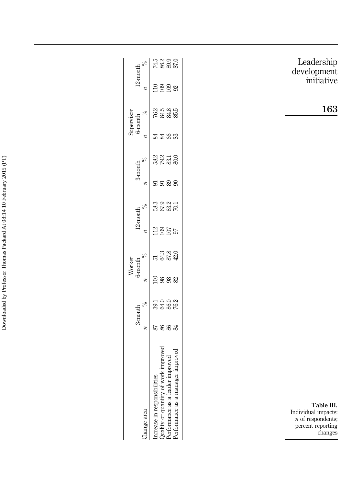| Leadership                                                                               | 13<br>1388<br>1488                                                                                                                               | $\%$                                                                        |
|------------------------------------------------------------------------------------------|--------------------------------------------------------------------------------------------------------------------------------------------------|-----------------------------------------------------------------------------|
| development<br>initiative                                                                | Egga                                                                                                                                             | $12$ -month<br>$\boldsymbol{n}$                                             |
| 163                                                                                      | 2338<br>2338                                                                                                                                     |                                                                             |
|                                                                                          | <b>2262</b>                                                                                                                                      | Supervisor<br>6-month $\underset{\%}{\circ\,_{\delta}}$<br>$\boldsymbol{n}$ |
|                                                                                          | $8230$<br>$8230$                                                                                                                                 | $\%$                                                                        |
|                                                                                          | 5588                                                                                                                                             | 3-month<br>$\boldsymbol{n}$                                                 |
|                                                                                          | 583<br>57.9<br>582<br>70.1                                                                                                                       | $\%$                                                                        |
|                                                                                          | 12855                                                                                                                                            | $12$ -month<br>$\boldsymbol{n}$                                             |
|                                                                                          | 53<br>643<br>542                                                                                                                                 | $\%$<br>Worker                                                              |
|                                                                                          | 2888                                                                                                                                             | 6-month<br>$\boldsymbol{\mathcal{Z}}$                                       |
|                                                                                          | 39.1<br>34.0<br>26.2                                                                                                                             | 3-month $\frac{9}{6}$                                                       |
|                                                                                          | 5883                                                                                                                                             | $\boldsymbol{n}$                                                            |
| Table III.<br>Individual impacts:<br>$n$ of respondents;<br>percent reporting<br>changes | Quality or quantity of work improved<br>improved<br>Performance as a leader improved<br>Performance as a manager<br>Increase in responsibilities | Change area                                                                 |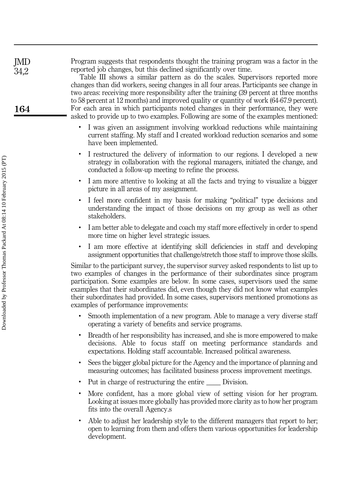Program suggests that respondents thought the training program was a factor in the reported job changes, but this declined significantly over time.

> Table III shows a similar pattern as do the scales. Supervisors reported more changes than did workers, seeing changes in all four areas. Participants see change in two areas: receiving more responsibility after the training (39 percent at three months to 58 percent at 12 months) and improved quality or quantity of work (64-67.9 percent). For each area in which participants noted changes in their performance, they were asked to provide up to two examples. Following are some of the examples mentioned:

- I was given an assignment involving workload reductions while maintaining current staffing. My staff and I created workload reduction scenarios and some have been implemented.
- I restructured the delivery of information to our regions. I developed a new strategy in collaboration with the regional managers, initiated the change, and conducted a follow-up meeting to refine the process.
- I am more attentive to looking at all the facts and trying to visualize a bigger picture in all areas of my assignment.
- I feel more confident in my basis for making "political" type decisions and understanding the impact of those decisions on my group as well as other stakeholders.
- I am better able to delegate and coach my staff more effectively in order to spend more time on higher level strategic issues.
- I am more effective at identifying skill deficiencies in staff and developing assignment opportunities that challenge/stretch those staff to improve those skills.

Similar to the participant survey, the supervisor survey asked respondents to list up to two examples of changes in the performance of their subordinates since program participation. Some examples are below. In some cases, supervisors used the same examples that their subordinates did, even though they did not know what examples their subordinates had provided. In some cases, supervisors mentioned promotions as examples of performance improvements:

- Smooth implementation of a new program. Able to manage a very diverse staff operating a variety of benefits and service programs.
- Breadth of her responsibility has increased, and she is more empowered to make decisions. Able to focus staff on meeting performance standards and expectations. Holding staff accountable. Increased political awareness.
- Sees the bigger global picture for the Agency and the importance of planning and measuring outcomes; has facilitated business process improvement meetings.
- Put in charge of restructuring the entire  $\_\_$  Division.
- More confident, has a more global view of setting vision for her program. Looking at issues more globally has provided more clarity as to how her program fits into the overall Agency.s
- Able to adjust her leadership style to the different managers that report to her; open to learning from them and offers them various opportunities for leadership development.

164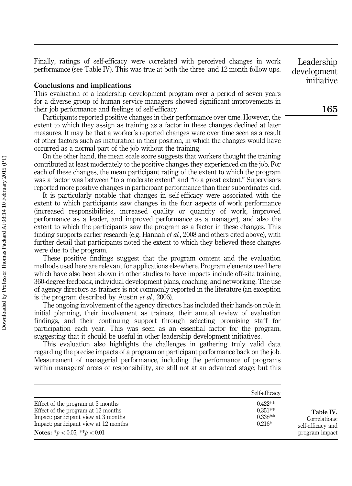Finally, ratings of self-efficacy were correlated with perceived changes in work performance (see Table IV). This was true at both the three- and 12-month follow-ups.

#### Conclusions and implications

This evaluation of a leadership development program over a period of seven years for a diverse group of human service managers showed significant improvements in their job performance and feelings of self-efficacy.

Participants reported positive changes in their performance over time. However, the extent to which they assign as training as a factor in these changes declined at later measures. It may be that a worker's reported changes were over time seen as a result of other factors such as maturation in their position, in which the changes would have occurred as a normal part of the job without the training.

On the other hand, the mean scale score suggests that workers thought the training contributed at least moderately to the positive changes they experienced on the job. For each of these changes, the mean participant rating of the extent to which the program was a factor was between "to a moderate extent" and "to a great extent." Supervisors reported more positive changes in participant performance than their subordinates did.

It is particularly notable that changes in self-efficacy were associated with the extent to which participants saw changes in the four aspects of work performance (increased responsibilities, increased quality or quantity of work, improved performance as a leader, and improved performance as a manager), and also the extent to which the participants saw the program as a factor in these changes. This finding supports earlier research (e.g. Hannah *et al.*, 2008 and others cited above), with further detail that participants noted the extent to which they believed these changes were due to the program.

These positive findings suggest that the program content and the evaluation methods used here are relevant for applications elsewhere. Program elements used here which have also been shown in other studies to have impacts include off-site training, 360-degree feedback, individual development plans, coaching, and networking. The use of agency directors as trainers is not commonly reported in the literature (an exception is the program described by Austin *et al.*, 2006).

The ongoing involvement of the agency directors has included their hands-on role in initial planning, their involvement as trainers, their annual review of evaluation findings, and their continuing support through selecting promising staff for participation each year. This was seen as an essential factor for the program, suggesting that it should be useful in other leadership development initiatives.

This evaluation also highlights the challenges in gathering truly valid data regarding the precise impacts of a program on participant performance back on the job. Measurement of managerial performance, including the performance of programs within managers' areas of responsibility, are still not at an advanced stage; but this

|                                       | Self-efficacy |
|---------------------------------------|---------------|
| Effect of the program at 3 months     | $0.422**$     |
| Effect of the program at 12 months    | $0.351**$     |
| Impact: participant view at 3 months  | $0.338**$     |
| Impact: participant view at 12 months | $0.216*$      |
| Notes: * $b < 0.05$ : ** $b < 0.01$   |               |

Leadership development initiative

Table IV. Correlations: self-efficacy and program impact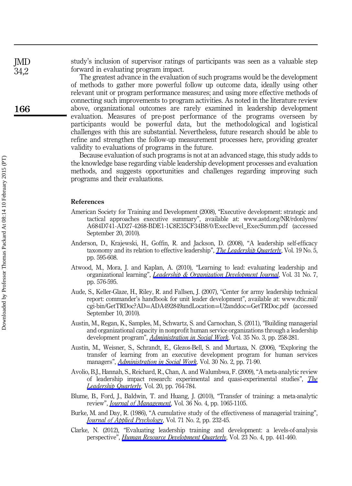study's inclusion of supervisor ratings of participants was seen as a valuable step forward in evaluating program impact.

The greatest advance in the evaluation of such programs would be the development of methods to gather more powerful follow up outcome data, ideally using other relevant unit or program performance measures; and using more effective methods of connecting such improvements to program activities. As noted in the literature review above, organizational outcomes are rarely examined in leadership development evaluation. Measures of pre-post performance of the programs overseen by participants would be powerful data, but the methodological and logistical challenges with this are substantial. Nevertheless, future research should be able to refine and strengthen the follow-up measurement processes here, providing greater validity to evaluations of programs in the future.

Because evaluation of such programs is not at an advanced stage, this study adds to the knowledge base regarding viable leadership development processes and evaluation methods, and suggests opportunities and challenges regarding improving such programs and their evaluations.

#### References

- American Society for Training and Development (2008), "Executive development: strategic and tactical approaches executive summary", available at: www.astd.org/NR/rdonlyres/ A684D741-AD27-4268-BDE1-1C8E35CF34B8/0/ExecDevel\_ExecSumm.pdf (accessed September 20, 2010).
- Anderson, D., Krajewski, H., Goffin, R. and Jackson, D. (2008), "A leadership self-efficacy taxonomy and its relation to effective leadership", *[The Leadership Quarterly](http://www.emeraldinsight.com/action/showLinks?crossref=10.1016%2Fj.leaqua.2008.07.003)*, Vol. 19 No. 5, pp. 595-608.
- Atwood, M., Mora, J. and Kaplan, A. (2010), "Learning to lead: evaluating leadership and organizational learning", *[Leadership & Organization Development Journal](http://www.emeraldinsight.com/action/showLinks?system=10.1108%2F01437731011079637)*, Vol. 31 No. 7, pp. 576-595.
- Aude, S., Keller-Glaze, H., Riley, R. and Fallsen, J. (2007), "Center for army leadership technical report: commander's handbook for unit leader development", available at: www.dtic.mil/ cgi-bin/GetTRDoc?AD=ADA492849andLocation=U2anddoc=GetTRDoc.pdf (accessed September 10, 2010).
- Austin, M., Regan, K., Samples, M., Schwartz, S. and Carnochan, S. (2011), "Building managerial and organizational capacity in nonprofit human service organizations through a leadership development program", *[Administration in Social Work](http://www.emeraldinsight.com/action/showLinks?crossref=10.1080%2F03643107.2011.575339)*, Vol. 35 No. 3, pp. 258-281.
- Austin, M., Weisner, S., Schrandt, E., Glezos-Bell, S. and Murtaza, N. (2006), "Exploring the transfer of learning from an executive development program for human services managers", *[Administration in Social Work](http://www.emeraldinsight.com/action/showLinks?crossref=10.1300%2FJ147v30n02_06)*, Vol. 30 No. 2, pp. 71-90.
- Avolio, B.J., Hannah, S., Reichard, R., Chan, A. and Walumbwa, F. (2009), "A meta-analytic review of leadership impact research: experimental and quasi-experimental studies", [The](http://www.emeraldinsight.com/action/showLinks?crossref=10.1016%2Fj.leaqua.2009.06.006) [Leadership Quarterly](http://www.emeraldinsight.com/action/showLinks?crossref=10.1016%2Fj.leaqua.2009.06.006), Vol. 20, pp. 764-784.
- Blume, B., Ford, J., Baldwin, T. and Huang, J. (2010), "Transfer of training: a meta-analytic review", *[Journal of Management](http://www.emeraldinsight.com/action/showLinks?crossref=10.1177%2F0149206309352880)*, Vol. 36 No. 4, pp. 1065-1105.
- Burke, M. and Day, R. (1986), "A cumulative study of the effectiveness of managerial training", **[Journal of Applied Psychology](http://www.emeraldinsight.com/action/showLinks?crossref=10.1037%2F0021-9010.71.2.232)**, Vol. 71 No. 2, pp. 232-45.
- Clarke, N. (2012), "Evaluating leadership training and development: a levels-of-analysis perspective", *[Human Resource Development Quarterly](http://www.emeraldinsight.com/action/showLinks?crossref=10.1002%2Fhrdq.21146)*, Vol. 23 No. 4, pp. 441-460.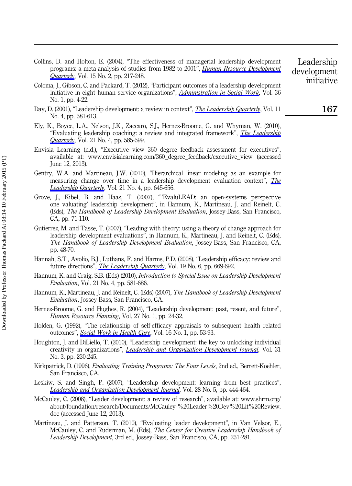- Collins, D. and Holton, E. (2004), "The effectiveness of managerial leadership development programs: a meta-analysis of studies from 1982 to 2001", *[Human Resource Development](http://www.emeraldinsight.com/action/showLinks?crossref=10.1002%2Fhrdq.1099)* [Quarterly](http://www.emeraldinsight.com/action/showLinks?crossref=10.1002%2Fhrdq.1099), Vol. 15 No. 2, pp. 217-248.
- Coloma, J., Gibson, C. and Packard, T. (2012), "Participant outcomes of a leadership development initiative in eight human service organizations", *[Administration in Social Work](http://www.emeraldinsight.com/action/showLinks?crossref=10.1080%2F03643107.2011.614540)*, Vol. 36 No. 1, pp. 4-22.
- Day, D. (2001), "Leadership development: a review in context", *[The Leadership Quarterly](http://www.emeraldinsight.com/action/showLinks?crossref=10.1016%2FS1048-9843%2800%2900061-8)*, Vol. 11 No. 4, pp. 581-613.
- Ely, K., Boyce, L.A., Nelson, J.K., Zaccaro, S.J., Hernez-Broome, G. and Whyman, W. (2010), "Evaluating leadership coaching: a review and integrated framework", [The Leadership](http://www.emeraldinsight.com/action/showLinks?crossref=10.1016%2Fj.leaqua.2010.06.003) [Quarterly](http://www.emeraldinsight.com/action/showLinks?crossref=10.1016%2Fj.leaqua.2010.06.003), Vol. 21 No. 4, pp. 585-599.
- Envisia Learning (n.d.), "Executive view 360 degree feedback assessment for executives", available at: www.envisialearning.com/360 degree feedback/executive view (accessed June 12, 2013).
- Gentry, W.A. and Martineau, J.W. (2010), "Hierarchical linear modeling as an example for measuring change over time in a leadership development evaluation context", [The](http://www.emeraldinsight.com/action/showLinks?crossref=10.1016%2Fj.leaqua.2010.06.007) [Leadership Quarterly](http://www.emeraldinsight.com/action/showLinks?crossref=10.1016%2Fj.leaqua.2010.06.007), Vol. 21 No. 4, pp. 645-656.
- Grove, J., Kibel, B. and Haas, T. (2007), " 'EvaluLEAD: an open-systems perspective one valuating' leadership development", in Hannum, K., Martineau, J. and Reinelt, C. (Eds), The Handbook of Leadership Development Evaluation, Jossey-Bass, San Francisco, CA, pp. 71-110.
- Gutierrez, M. and Tasse, T. (2007), "Leading with theory: using a theory of change approach for leadership development evaluations", in Hannum, K., Martineau, J. and Reinelt, C. (Eds), The Handbook of Leadership Development Evaluation, Jossey-Bass, San Francisco, CA, pp. 48-70.
- Hannah, S.T., Avolio, B.J., Luthans, F. and Harms, P.D. (2008), "Leadership efficacy: review and future directions", *[The Leadership Quarterly](http://www.emeraldinsight.com/action/showLinks?crossref=10.1016%2Fj.leaqua.2008.09.007)*, Vol. 19 No. 6, pp. 669-692.
- Hannum, K. and Craig, S.B. (Eds) (2010), Introduction to Special Issue on Leadership Development Evaluation, Vol. 21 No. 4, pp. 581-686.
- Hannum, K., Martineau, J. and Reinelt, C. (Eds) (2007), The Handbook of Leadership Development Evaluation, Jossey-Bass, San Francisco, CA.
- Hernez-Broome, G. and Hughes, R. (2004), "Leadership development: past, resent, and future", Human Resource Planning, Vol. 27 No. 1, pp. 24-32.
- Holden, G. (1992), "The relationship of self-efficacy appraisals to subsequent health related outcomes", [Social Work in Health Care](http://www.emeraldinsight.com/action/showLinks?crossref=10.1300%2FJ010v16n01_05), Vol. 16 No. 1, pp. 53-93.
- Houghton, J. and DiLiello, T. (2010), "Leadership development: the key to unlocking individual creativity in organizations", *[Leadership and Organization Development Journal](http://www.emeraldinsight.com/action/showLinks?system=10.1108%2F01437731011039343)*, Vol. 31 No. 3, pp. 230-245.
- Kirkpatrick, D. (1996), Evaluating Training Programs: The Four Levels, 2nd ed., Berrett-Koehler, San Francisco, CA.
- Leskiw, S. and Singh, P. (2007), "Leadership development: learning from best practices", [Leadership and Organization Development Journal](http://www.emeraldinsight.com/action/showLinks?system=10.1108%2F01437730710761742), Vol. 28 No. 5, pp. 444-464.
- McCauley, C. (2008), "Leader development: a review of research", available at: www.shrm.org/ about/foundation/research/Documents/McCauley-%20Leader%20Dev%20Lit%20Review. doc (accessed June 12, 2013).
- Martineau, J. and Patterson, T. (2010), "Evaluating leader development", in Van Velsor, E., McCauley, C. and Ruderman, M. (Eds), The Center for Creative Leadership Handbook of Leadership Development, 3rd ed., Jossey-Bass, San Francisco, CA, pp. 251-281.